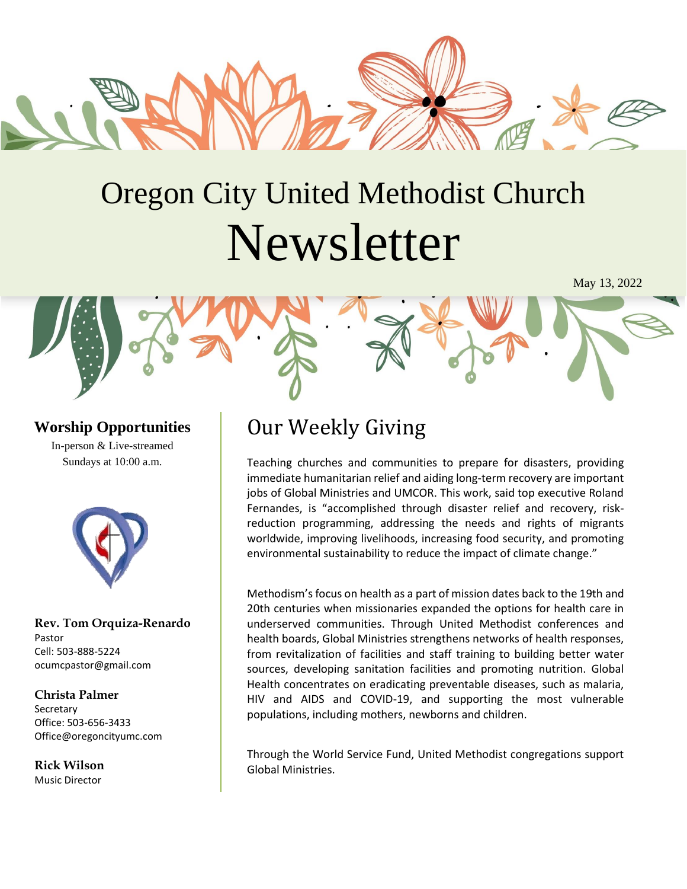

# Oregon City United Methodist Church Newsletter

May 13, 2022

# **Worship Opportunities**

In-person & Live-streamed Sundays at 10:00 a.m.



**Rev. Tom Orquiza-Renardo** Pastor Cell: 503-888-5224 ocumcpastor@gmail.com

#### **Christa Palmer**

Secretary Office: 503-656-3433 Office@oregoncityumc.com

**Rick Wilson** Music Director

# Our Weekly Giving

Teaching churches and communities to prepare for disasters, providing immediate humanitarian relief and aiding long-term recovery are important jobs of Global Ministries and UMCOR. This work, said top executive Roland Fernandes, is "accomplished through disaster relief and recovery, riskreduction programming, addressing the needs and rights of migrants worldwide, improving livelihoods, increasing food security, and promoting environmental sustainability to reduce the impact of climate change."

Methodism's focus on health as a part of mission dates back to the 19th and 20th centuries when missionaries expanded the options for health care in underserved communities. Through United Methodist conferences and health boards, Global Ministries strengthens networks of health responses, from revitalization of facilities and staff training to building better water sources, developing sanitation facilities and promoting nutrition. Global Health concentrates on eradicating preventable diseases, such as malaria, HIV and AIDS and COVID-19, and supporting the most vulnerable populations, including mothers, newborns and children.

Through the World Service Fund, United Methodist congregations support Global Ministries.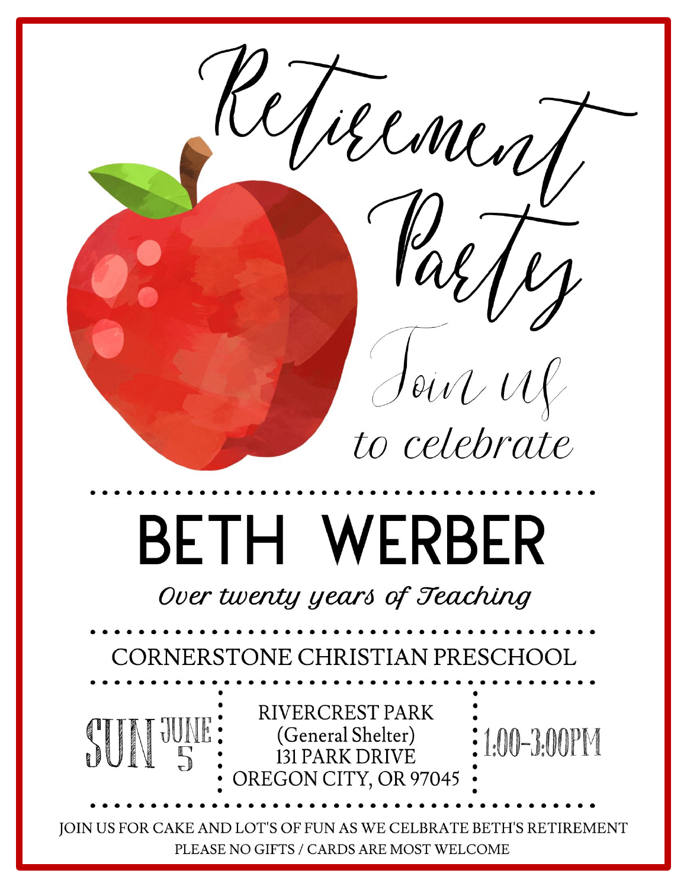